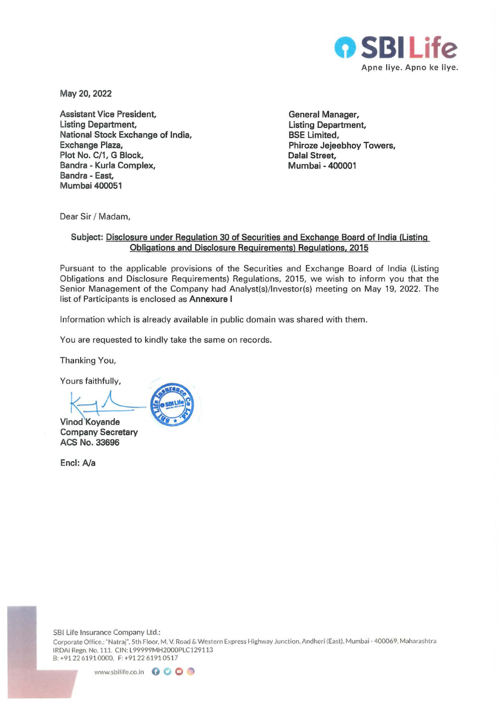

**May 20, 2022** 

**Assistant Vice President, Listing Department, National Stock Exchange of India, Exchange Plaza,**  Plot No. C/1, G Block, **Bandra - Kurla Complex, Sandra - East, Mumbai 400051** 

**General Manager, Listing Department, BSE Limited, Phiroze Jejeebhoy Towers, Dalal Street, Mumbai - 400001** 

Dear Sir / Madam,

## **Subject: Disclosure under Regulation 30 of Securities and Exchange Board of India (Listing Obligations and Disclosure Requirements) Regulations, 2015**

Pursuant to the applicable provisions of the Securities and Exchange Board of India (Listing Obligations and Disclosure Requirements) Regulations, 2015, we wish to inform you that the Senior Management of the Company had Analyst(s)/lnvestor(s) meeting on May 19, 2022. The list of Participants is enclosed as **Annexure I** 

Information which is already available in public domain was shared with them.

You are requested to kindly take the same on records.

Thanking You,

Yours faithfully,

 $\times$ 

**Vinod Koyande Company Secretary ACS No. 33696** 

**Encl:** *Na*